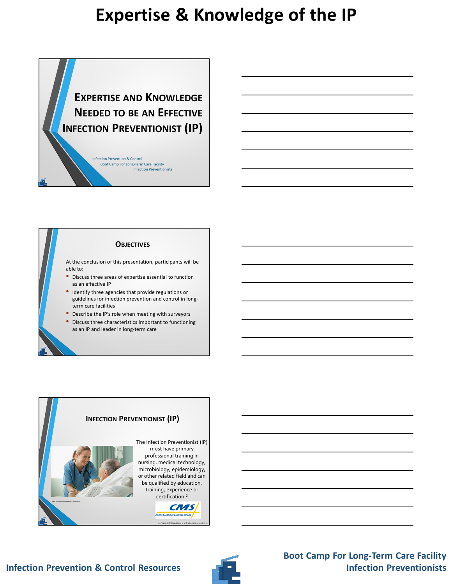**EXPERTISE AND KNOWLEDGE NEEDED TO BE AN EFFECTIVE INFECTION PREVENTIONIST (IP)**

Boot Camp For Long-Term Care Facility Infection Preventionists

Infection Prevention & Control

### **OBJECTIVES**

At the conclusion of this presentation, participants will be able to:

- Discuss three areas of expertise essential to function as an effective IP
- Identify three agencies that provide regulations or guidelines for infection prevention and control in longterm care facilities
- Describe the IP's role when meeting with surveyors
- Discuss three characteristics important to functioning as an IP and leader in long-term care



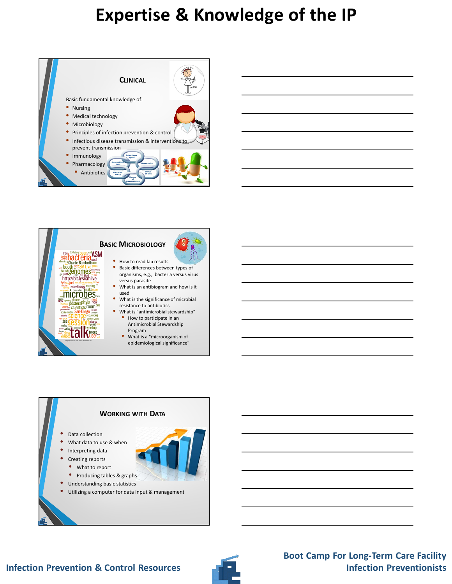





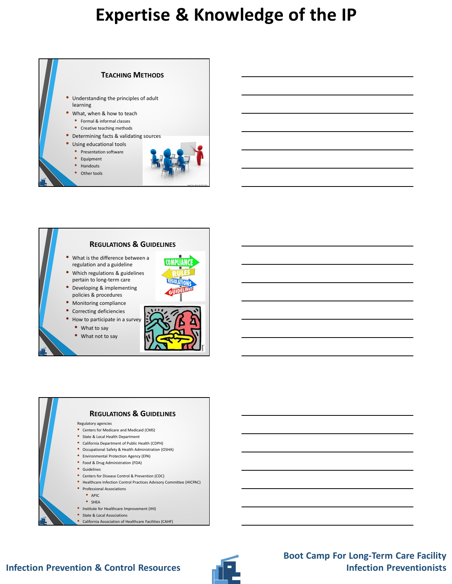

### **REGULATIONS & GUIDELINES**

- What is the difference between a regulation and a guideline
- Which regulations & guidelines pertain to long-term care



- Monitoring compliance
- Correcting deficiencies
- How to participate in a survey
	- What to say
	- What not to say



Image from Microsoft Office 2013



• California Association of Healthcare Facilities (CAHF)

### **Infection Prevention & Control Resources**

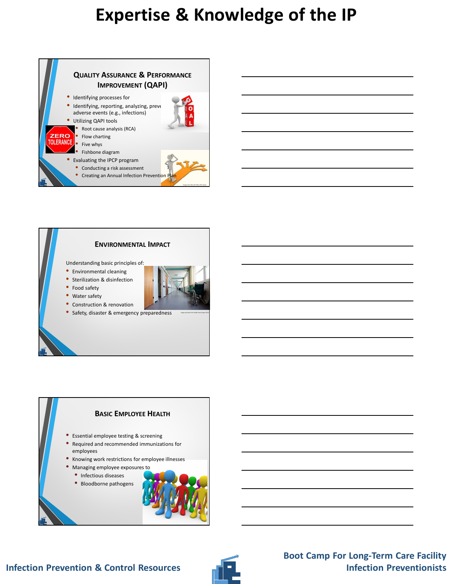



- Water safety
- Construction & renovation
- Safety, disaster & emergency preparedness

#### **BASIC EMPLOYEE HEALTH**

- Essential employee testing & screening
- Required and recommended immunizations for employees
- Knowing work restrictions for employee illnesses
- Managing employee exposures to
	- Infectious diseases
	- Bloodborne pathogens